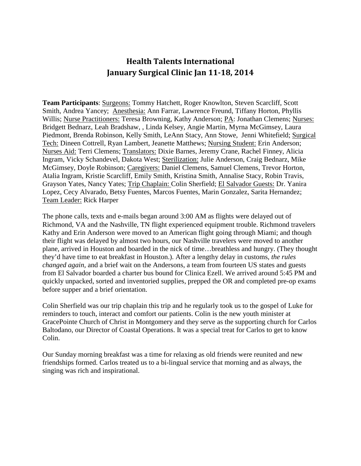## **Health Talents International January Surgical Clinic Jan 11-18, 2014**

**Team Participants**: Surgeons: Tommy Hatchett, Roger Knowlton, Steven Scarcliff, Scott Smith, Andrea Yancey; Anesthesia: Ann Farrar, Lawrence Freund, Tiffany Horton, Phyllis Willis; Nurse Practitioners: Teresa Browning, Kathy Anderson; PA: Jonathan Clemens; Nurses: Bridgett Bednarz, Leah Bradshaw, , Linda Kelsey, Angie Martin, Myrna McGimsey, Laura Piedmont, Brenda Robinson, Kelly Smith, LeAnn Stacy, Ann Stowe, Jenni Whitefield; Surgical Tech: Dineen Cottrell, Ryan Lambert, Jeanette Matthews; Nursing Student: Erin Anderson; Nurses Aid: Terri Clemens; Translators: Dixie Barnes, Jeremy Crane, Rachel Finney, Alicia Ingram, Vicky Schandevel, Dakota West; Sterilization: Julie Anderson, Craig Bednarz, Mike McGimsey, Doyle Robinson; Caregivers: Daniel Clemens, Samuel Clemens, Trevor Horton, Atalia Ingram, Kristie Scarcliff, Emily Smith, Kristina Smith, Annalise Stacy, Robin Travis, Grayson Yates, Nancy Yates; Trip Chaplain: Colin Sherfield; El Salvador Guests: Dr. Yanira Lopez, Cecy Alvarado, Betsy Fuentes, Marcos Fuentes, Marin Gonzalez, Sarita Hernandez; Team Leader: Rick Harper

The phone calls, texts and e-mails began around 3:00 AM as flights were delayed out of Richmond, VA and the Nashville, TN flight experienced equipment trouble. Richmond travelers Kathy and Erin Anderson were moved to an American flight going through Miami; and though their flight was delayed by almost two hours, our Nashville travelers were moved to another plane, arrived in Houston and boarded in the nick of time…breathless and hungry. (They thought they'd have time to eat breakfast in Houston.). After a lengthy delay in customs, *the rules changed again,* and a brief wait on the Andersons, a team from fourteen US states and guests from El Salvador boarded a charter bus bound for Clinica Ezell. We arrived around 5:45 PM and quickly unpacked, sorted and inventoried supplies, prepped the OR and completed pre-op exams before supper and a brief orientation.

Colin Sherfield was our trip chaplain this trip and he regularly took us to the gospel of Luke for reminders to touch, interact and comfort our patients. Colin is the new youth minister at GracePointe Church of Christ in Montgomery and they serve as the supporting church for Carlos Baltodano, our Director of Coastal Operations. It was a special treat for Carlos to get to know Colin.

Our Sunday morning breakfast was a time for relaxing as old friends were reunited and new friendships formed. Carlos treated us to a bi-lingual service that morning and as always, the singing was rich and inspirational.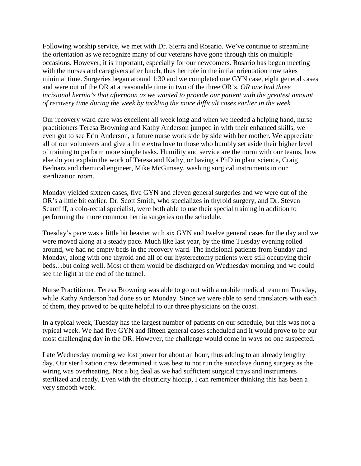Following worship service, we met with Dr. Sierra and Rosario. We've continue to streamline the orientation as we recognize many of our veterans have gone through this on multiple occasions. However, it is important, especially for our newcomers. Rosario has begun meeting with the nurses and caregivers after lunch, thus her role in the initial orientation now takes minimal time. Surgeries began around 1:30 and we completed one GYN case, eight general cases and were out of the OR at a reasonable time in two of the three OR's. *OR one had three incisional hernia's that afternoon as we wanted to provide our patient with the greatest amount of recovery time during the week by tackling the more difficult cases earlier in the week.*

Our recovery ward care was excellent all week long and when we needed a helping hand, nurse practitioners Teresa Browning and Kathy Anderson jumped in with their enhanced skills, we even got to see Erin Anderson, a future nurse work side by side with her mother. We appreciate all of our volunteers and give a little extra love to those who humbly set aside their higher level of training to perform more simple tasks. Humility and service are the norm with our teams, how else do you explain the work of Teresa and Kathy, or having a PhD in plant science, Craig Bednarz and chemical engineer, Mike McGimsey, washing surgical instruments in our sterilization room.

Monday yielded sixteen cases, five GYN and eleven general surgeries and we were out of the OR's a little bit earlier. Dr. Scott Smith, who specializes in thyroid surgery, and Dr. Steven Scarcliff, a colo-rectal specialist, were both able to use their special training in addition to performing the more common hernia surgeries on the schedule.

Tuesday's pace was a little bit heavier with six GYN and twelve general cases for the day and we were moved along at a steady pace. Much like last year, by the time Tuesday evening rolled around, we had no empty beds in the recovery ward. The incisional patients from Sunday and Monday, along with one thyroid and all of our hysterectomy patients were still occupying their beds…but doing well. Most of them would be discharged on Wednesday morning and we could see the light at the end of the tunnel.

Nurse Practitioner, Teresa Browning was able to go out with a mobile medical team on Tuesday, while Kathy Anderson had done so on Monday. Since we were able to send translators with each of them, they proved to be quite helpful to our three physicians on the coast.

In a typical week, Tuesday has the largest number of patients on our schedule, but this was not a typical week. We had five GYN and fifteen general cases scheduled and it would prove to be our most challenging day in the OR. However, the challenge would come in ways no one suspected.

Late Wednesday morning we lost power for about an hour, thus adding to an already lengthy day. Our sterilization crew determined it was best to not run the autoclave during surgery as the wiring was overheating. Not a big deal as we had sufficient surgical trays and instruments sterilized and ready. Even with the electricity hiccup, I can remember thinking this has been a very smooth week.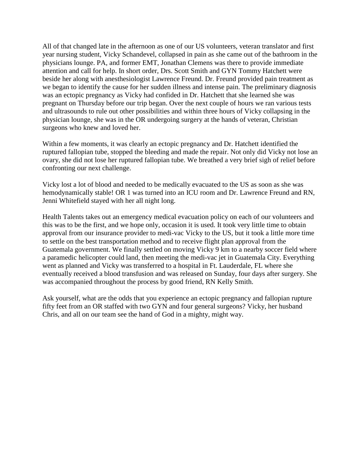All of that changed late in the afternoon as one of our US volunteers, veteran translator and first year nursing student, Vicky Schandevel, collapsed in pain as she came out of the bathroom in the physicians lounge. PA, and former EMT, Jonathan Clemens was there to provide immediate attention and call for help. In short order, Drs. Scott Smith and GYN Tommy Hatchett were beside her along with anesthesiologist Lawrence Freund. Dr. Freund provided pain treatment as we began to identify the cause for her sudden illness and intense pain. The preliminary diagnosis was an ectopic pregnancy as Vicky had confided in Dr. Hatchett that she learned she was pregnant on Thursday before our trip began. Over the next couple of hours we ran various tests and ultrasounds to rule out other possibilities and within three hours of Vicky collapsing in the physician lounge, she was in the OR undergoing surgery at the hands of veteran, Christian surgeons who knew and loved her.

Within a few moments, it was clearly an ectopic pregnancy and Dr. Hatchett identified the ruptured fallopian tube, stopped the bleeding and made the repair. Not only did Vicky not lose an ovary, she did not lose her ruptured fallopian tube. We breathed a very brief sigh of relief before confronting our next challenge.

Vicky lost a lot of blood and needed to be medically evacuated to the US as soon as she was hemodynamically stable! OR 1 was turned into an ICU room and Dr. Lawrence Freund and RN, Jenni Whitefield stayed with her all night long.

Health Talents takes out an emergency medical evacuation policy on each of our volunteers and this was to be the first, and we hope only, occasion it is used. It took very little time to obtain approval from our insurance provider to medi-vac Vicky to the US, but it took a little more time to settle on the best transportation method and to receive flight plan approval from the Guatemala government. We finally settled on moving Vicky 9 km to a nearby soccer field where a paramedic helicopter could land, then meeting the medi-vac jet in Guatemala City. Everything went as planned and Vicky was transferred to a hospital in Ft. Lauderdale, FL where she eventually received a blood transfusion and was released on Sunday, four days after surgery. She was accompanied throughout the process by good friend, RN Kelly Smith.

Ask yourself, what are the odds that you experience an ectopic pregnancy and fallopian rupture fifty feet from an OR staffed with two GYN and four general surgeons? Vicky, her husband Chris, and all on our team see the hand of God in a mighty, might way.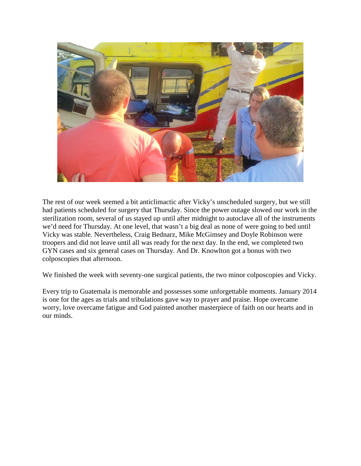

The rest of our week seemed a bit anticlimactic after Vicky's unscheduled surgery, but we still had patients scheduled for surgery that Thursday. Since the power outage slowed our work in the sterilization room, several of us stayed up until after midnight to autoclave all of the instruments we'd need for Thursday. At one level, that wasn't a big deal as none of were going to bed until Vicky was stable. Nevertheless, Craig Bednarz, Mike McGimsey and Doyle Robinson were troopers and did not leave until all was ready for the next day. In the end, we completed two GYN cases and six general cases on Thursday. And Dr. Knowlton got a bonus with two colposcopies that afternoon.

We finished the week with seventy-one surgical patients, the two minor colposcopies and Vicky.

Every trip to Guatemala is memorable and possesses some unforgettable moments. January 2014 is one for the ages as trials and tribulations gave way to prayer and praise. Hope overcame worry, love overcame fatigue and God painted another masterpiece of faith on our hearts and in our minds.